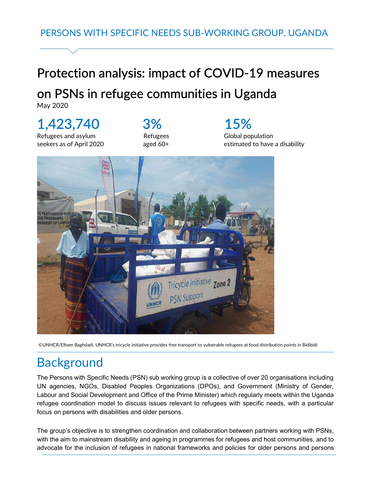# Protection analysis: impact of COVID-19 measures

### on PSNs in refugee communities in Uganda

May 2020

# 1,423,740

Refugees and asylum seekers as of April 2020

### 3% Refugees aged 60+

 15% Global population estimated to have a disability



©UNHCR/Elham Baghdadi. UNHCR's tricycle initiative provides free transport to vulnerable refugees at food distribution points in Bidibidi

### **Background**

The Persons with Specific Needs (PSN) sub working group is a collective of over 20 organisations including UN agencies, NGOs, Disabled Peoples Organizations (DPOs), and Government (Ministry of Gender, Labour and Social Development and Office of the Prime Minister) which regularly meets within the Uganda refugee coordination model to discuss issues relevant to refugees with specific needs, with a particular focus on persons with disabilities and older persons.

The group's objective is to strengthen coordination and collaboration between partners working with PSNs, with the aim to mainstream disability and ageing in programmes for refugees and host communities, and to advocate for the inclusion of refugees in national frameworks and policies for older persons and persons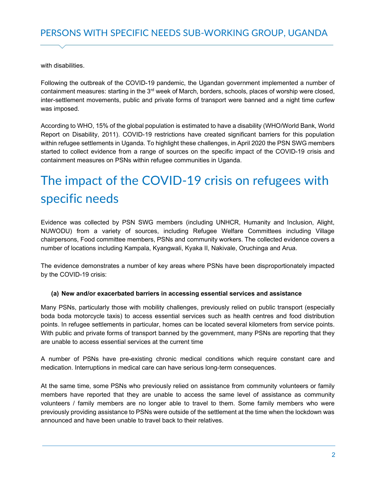with disabilities

Following the outbreak of the COVID-19 pandemic, the Ugandan government implemented a number of containment measures: starting in the  $3<sup>rd</sup>$  week of March, borders, schools, places of worship were closed, inter-settlement movements, public and private forms of transport were banned and a night time curfew was imposed.

According to WHO, 15% of the global population is estimated to have a disability (WHO/World Bank, World Report on Disability, 2011). COVID-19 restrictions have created significant barriers for this population within refugee settlements in Uganda. To highlight these challenges, in April 2020 the PSN SWG members started to collect evidence from a range of sources on the specific impact of the COVID-19 crisis and containment measures on PSNs within refugee communities in Uganda.

# The impact of the COVID-19 crisis on refugees with specific needs

Evidence was collected by PSN SWG members (including UNHCR, Humanity and Inclusion, Alight, NUWODU) from a variety of sources, including Refugee Welfare Committees including Village chairpersons, Food committee members, PSNs and community workers. The collected evidence covers a number of locations including Kampala, Kyangwali, Kyaka II, Nakivale, Oruchinga and Arua.

The evidence demonstrates a number of key areas where PSNs have been disproportionately impacted by the COVID-19 crisis:

#### (a) New and/or exacerbated barriers in accessing essential services and assistance

Many PSNs, particularly those with mobility challenges, previously relied on public transport (especially boda boda motorcycle taxis) to access essential services such as health centres and food distribution points. In refugee settlements in particular, homes can be located several kilometers from service points. With public and private forms of transport banned by the government, many PSNs are reporting that they are unable to access essential services at the current time

A number of PSNs have pre-existing chronic medical conditions which require constant care and medication. Interruptions in medical care can have serious long-term consequences.

At the same time, some PSNs who previously relied on assistance from community volunteers or family members have reported that they are unable to access the same level of assistance as community volunteers / family members are no longer able to travel to them. Some family members who were previously providing assistance to PSNs were outside of the settlement at the time when the lockdown was announced and have been unable to travel back to their relatives.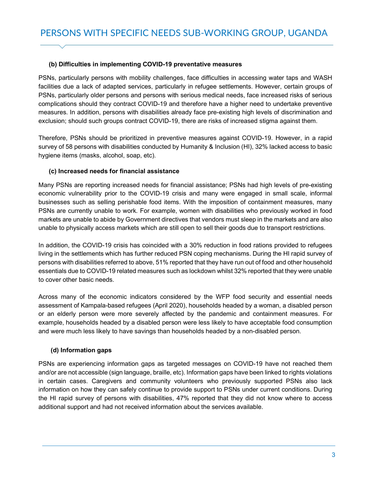#### (b) Difficulties in implementing COVID-19 preventative measures

PSNs, particularly persons with mobility challenges, face difficulties in accessing water taps and WASH facilities due a lack of adapted services, particularly in refugee settlements. However, certain groups of PSNs, particularly older persons and persons with serious medical needs, face increased risks of serious complications should they contract COVID-19 and therefore have a higher need to undertake preventive measures. In addition, persons with disabilities already face pre-existing high levels of discrimination and exclusion; should such groups contract COVID-19, there are risks of increased stigma against them.

Therefore, PSNs should be prioritized in preventive measures against COVID-19. However, in a rapid survey of 58 persons with disabilities conducted by Humanity & Inclusion (HI), 32% lacked access to basic hygiene items (masks, alcohol, soap, etc).

#### (c) Increased needs for financial assistance

Many PSNs are reporting increased needs for financial assistance; PSNs had high levels of pre-existing economic vulnerability prior to the COVID-19 crisis and many were engaged in small scale, informal businesses such as selling perishable food items. With the imposition of containment measures, many PSNs are currently unable to work. For example, women with disabilities who previously worked in food markets are unable to abide by Government directives that vendors must sleep in the markets and are also unable to physically access markets which are still open to sell their goods due to transport restrictions.

In addition, the COVID-19 crisis has coincided with a 30% reduction in food rations provided to refugees living in the settlements which has further reduced PSN coping mechanisms. During the HI rapid survey of persons with disabilities referred to above, 51% reported that they have run out of food and other household essentials due to COVID-19 related measures such as lockdown whilst 32% reported that they were unable to cover other basic needs.

Across many of the economic indicators considered by the WFP food security and essential needs assessment of Kampala-based refugees (April 2020), households headed by a woman, a disabled person or an elderly person were more severely affected by the pandemic and containment measures. For example, households headed by a disabled person were less likely to have acceptable food consumption and were much less likely to have savings than households headed by a non-disabled person.

#### (d) Information gaps

PSNs are experiencing information gaps as targeted messages on COVID-19 have not reached them and/or are not accessible (sign language, braille, etc). Information gaps have been linked to rights violations in certain cases. Caregivers and community volunteers who previously supported PSNs also lack information on how they can safely continue to provide support to PSNs under current conditions. During the HI rapid survey of persons with disabilities, 47% reported that they did not know where to access additional support and had not received information about the services available.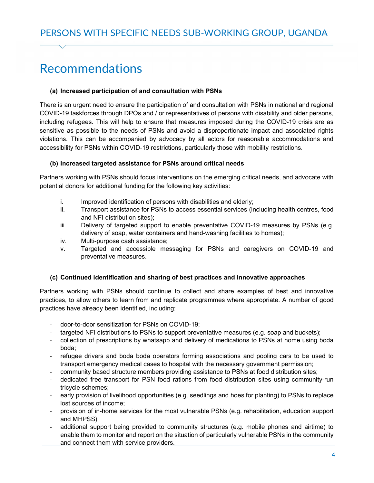### Recommendations

#### (a) Increased participation of and consultation with PSNs

There is an urgent need to ensure the participation of and consultation with PSNs in national and regional COVID-19 taskforces through DPOs and / or representatives of persons with disability and older persons, including refugees. This will help to ensure that measures imposed during the COVID-19 crisis are as sensitive as possible to the needs of PSNs and avoid a disproportionate impact and associated rights violations. This can be accompanied by advocacy by all actors for reasonable accommodations and accessibility for PSNs within COVID-19 restrictions, particularly those with mobility restrictions.

#### (b) Increased targeted assistance for PSNs around critical needs

Partners working with PSNs should focus interventions on the emerging critical needs, and advocate with potential donors for additional funding for the following key activities:

- i. Improved identification of persons with disabilities and elderly;
- ii. Transport assistance for PSNs to access essential services (including health centres, food and NFI distribution sites);
- iii. Delivery of targeted support to enable preventative COVID-19 measures by PSNs (e.g. delivery of soap, water containers and hand-washing facilities to homes);
- iv. Multi-purpose cash assistance;
- v. Targeted and accessible messaging for PSNs and caregivers on COVID-19 and preventative measures.

#### (c) Continued identification and sharing of best practices and innovative approaches

Partners working with PSNs should continue to collect and share examples of best and innovative practices, to allow others to learn from and replicate programmes where appropriate. A number of good practices have already been identified, including:

- door-to-door sensitization for PSNs on COVID-19;
- targeted NFI distributions to PSNs to support preventative measures (e.g. soap and buckets);
- collection of prescriptions by whatsapp and delivery of medications to PSNs at home using boda boda;
- refugee drivers and boda boda operators forming associations and pooling cars to be used to transport emergency medical cases to hospital with the necessary government permission;
- community based structure members providing assistance to PSNs at food distribution sites;
- dedicated free transport for PSN food rations from food distribution sites using community-run tricycle schemes;
- early provision of livelihood opportunities (e.g. seedlings and hoes for planting) to PSNs to replace lost sources of income;
- provision of in-home services for the most vulnerable PSNs (e.g. rehabilitation, education support and MHPSS);
- additional support being provided to community structures (e.g. mobile phones and airtime) to enable them to monitor and report on the situation of particularly vulnerable PSNs in the community and connect them with service providers.